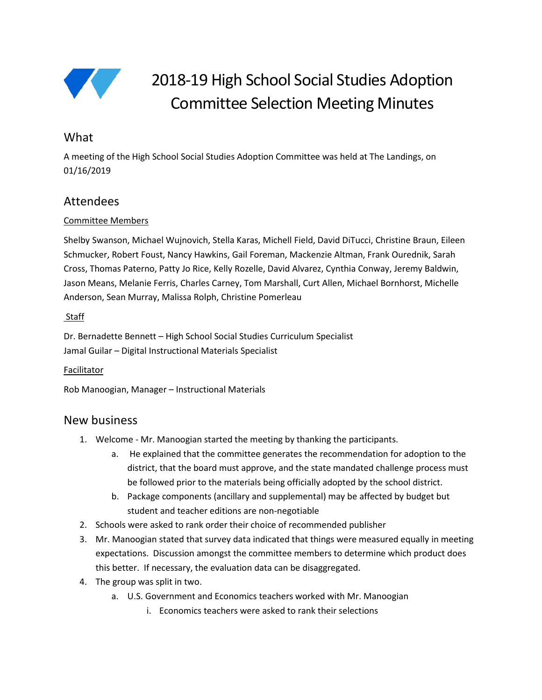

# 2018-19 High School Social Studies Adoption Committee Selection Meeting Minutes

# **What**

A meeting of the High School Social Studies Adoption Committee was held at The Landings, on 01/16/2019

# Attendees

## Committee Members

Shelby Swanson, Michael Wujnovich, Stella Karas, Michell Field, David DiTucci, Christine Braun, Eileen Schmucker, Robert Foust, Nancy Hawkins, Gail Foreman, Mackenzie Altman, Frank Ourednik, Sarah Cross, Thomas Paterno, Patty Jo Rice, Kelly Rozelle, David Alvarez, Cynthia Conway, Jeremy Baldwin, Jason Means, Melanie Ferris, Charles Carney, Tom Marshall, Curt Allen, Michael Bornhorst, Michelle Anderson, Sean Murray, Malissa Rolph, Christine Pomerleau

#### Staff

Dr. Bernadette Bennett – High School Social Studies Curriculum Specialist Jamal Guilar – Digital Instructional Materials Specialist

### Facilitator

Rob Manoogian, Manager – Instructional Materials

# New business

- 1. Welcome Mr. Manoogian started the meeting by thanking the participants.
	- a. He explained that the committee generates the recommendation for adoption to the district, that the board must approve, and the state mandated challenge process must be followed prior to the materials being officially adopted by the school district.
	- b. Package components (ancillary and supplemental) may be affected by budget but student and teacher editions are non-negotiable
- 2. Schools were asked to rank order their choice of recommended publisher
- 3. Mr. Manoogian stated that survey data indicated that things were measured equally in meeting expectations. Discussion amongst the committee members to determine which product does this better. If necessary, the evaluation data can be disaggregated.
- 4. The group was split in two.
	- a. U.S. Government and Economics teachers worked with Mr. Manoogian
		- i. Economics teachers were asked to rank their selections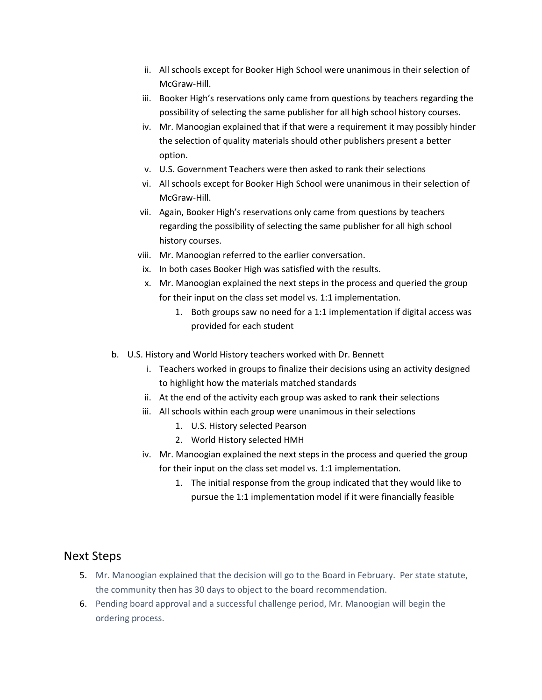- ii. All schools except for Booker High School were unanimous in their selection of McGraw-Hill.
- iii. Booker High's reservations only came from questions by teachers regarding the possibility of selecting the same publisher for all high school history courses.
- iv. Mr. Manoogian explained that if that were a requirement it may possibly hinder the selection of quality materials should other publishers present a better option.
- v. U.S. Government Teachers were then asked to rank their selections
- vi. All schools except for Booker High School were unanimous in their selection of McGraw-Hill.
- vii. Again, Booker High's reservations only came from questions by teachers regarding the possibility of selecting the same publisher for all high school history courses.
- viii. Mr. Manoogian referred to the earlier conversation.
- ix. In both cases Booker High was satisfied with the results.
- x. Mr. Manoogian explained the next steps in the process and queried the group for their input on the class set model vs. 1:1 implementation.
	- 1. Both groups saw no need for a 1:1 implementation if digital access was provided for each student
- b. U.S. History and World History teachers worked with Dr. Bennett
	- i. Teachers worked in groups to finalize their decisions using an activity designed to highlight how the materials matched standards
	- ii. At the end of the activity each group was asked to rank their selections
	- iii. All schools within each group were unanimous in their selections
		- 1. U.S. History selected Pearson
		- 2. World History selected HMH
	- iv. Mr. Manoogian explained the next steps in the process and queried the group for their input on the class set model vs. 1:1 implementation.
		- 1. The initial response from the group indicated that they would like to pursue the 1:1 implementation model if it were financially feasible

## Next Steps

- 5. Mr. Manoogian explained that the decision will go to the Board in February. Per state statute, the community then has 30 days to object to the board recommendation.
- 6. Pending board approval and a successful challenge period, Mr. Manoogian will begin the ordering process.